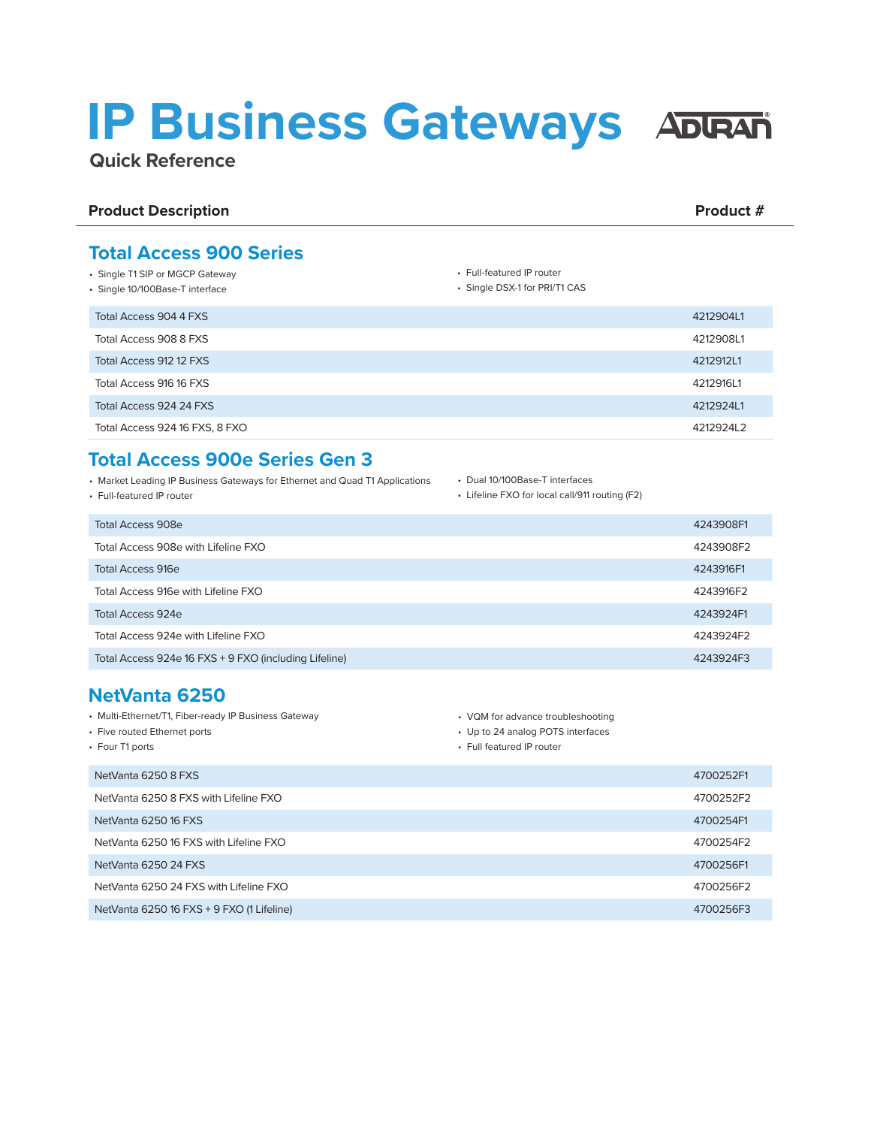# **IP Business Gateways**

**Quick Reference**

#### **Product Description Product # 2012 12:30 Product # 2013 12:30 Product # 2013 12:30 Product # 2013 12:30 Product # 2013 12:30 Product # 2013 12:30 Product # 2013 12:30 Product # 2013 12:30 Product # 2013 12:30 Product # 20**

• Single T1 SIP or MGCP Gateway • Single 10/100Base-T interface

**Total Access 900 Series**

## • Full-featured IP router

• Single DSX-1 for PRI/T1 CAS

| Total Access 904 4 FXS         | 4212904L1 |
|--------------------------------|-----------|
| Total Access 908 8 FXS         | 4212908L1 |
| Total Access 912 12 FXS        | 4212912L1 |
| Total Access 916 16 FXS        | 4212916L1 |
| Total Access 924 24 FXS        | 4212924L1 |
| Total Access 924 16 FXS, 8 FXO | 421292412 |

#### **Total Access 900e Series Gen 3**

- Market Leading IP Business Gateways for Ethernet and Quad T1 Applications
- Full-featured IP router
- Dual 10/100Base-T interfaces
- Lifeline FXO for local call/911 routing (F2)

| Total Access 908e                                     | 4243908F1 |
|-------------------------------------------------------|-----------|
| Total Access 908e with Lifeline FXO                   | 4243908F2 |
| <b>Total Access 916e</b>                              | 4243916F1 |
| Total Access 916e with Lifeline FXO                   | 4243916F2 |
| Total Access 924e                                     | 4243924F1 |
| Total Access 924e with Lifeline FXO                   | 4243924F2 |
| Total Access 924e 16 FXS + 9 FXO (including Lifeline) | 4243924F3 |

### **NetVanta 6250**

| • Multi-Ethernet/T1, Fiber-ready IP Business Gateway | • VQM for advance troubleshooting |           |
|------------------------------------------------------|-----------------------------------|-----------|
| • Five routed Ethernet ports                         | • Up to 24 analog POTS interfaces |           |
| • Four T1 ports                                      | • Full featured IP router         |           |
| NetVanta 6250 8 FXS                                  |                                   | 4700252F1 |
| NetVanta 6250 8 FXS with Lifeline FXO                |                                   | 4700252F2 |
| NetVanta 6250 16 FXS                                 |                                   | 4700254F1 |
| NetVanta 6250 16 FXS with Lifeline FXO               |                                   | 4700254F2 |
| NetVanta 6250 24 FXS                                 |                                   | 4700256F1 |
| NetVanta 6250 24 FXS with Lifeline FXO               |                                   | 4700256F2 |
| NetVanta 6250 16 FXS + 9 FXO (1 Lifeline)            |                                   | 4700256F3 |